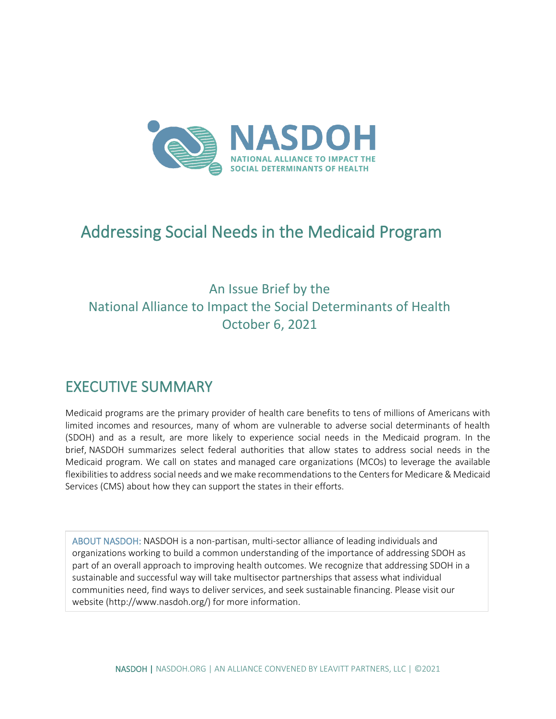

# Addressing Social Needs in the Medicaid Program

## An Issue Brief by the National Alliance to Impact the Social Determinants of Health October 6, 2021

## EXECUTIVE SUMMARY

Medicaid programs are the primary provider of health care benefits to tens of millions of Americans with limited incomes and resources, many of whom are vulnerable to adverse social determinants of health (SDOH) and as a result, are more likely to experience social needs in the Medicaid program. In the brief, NASDOH summarizes select federal authorities that allow states to address social needs in the Medicaid program. We call on states and managed care organizations (MCOs) to leverage the available flexibilities to address social needs and we make recommendations to the Centers for Medicare & Medicaid Services (CMS) about how they can support the states in their efforts.

ABOUT NASDOH: NASDOH is a non-partisan, multi-sector alliance of leading individuals and organizations working to build a common understanding of the importance of addressing SDOH as part of an overall approach to improving health outcomes. We recognize that addressing SDOH in a sustainable and successful way will take multisector partnerships that assess what individual communities need, find ways to deliver services, and seek sustainable financing. Please visit our website (http://www.nasdoh.org/) for more information.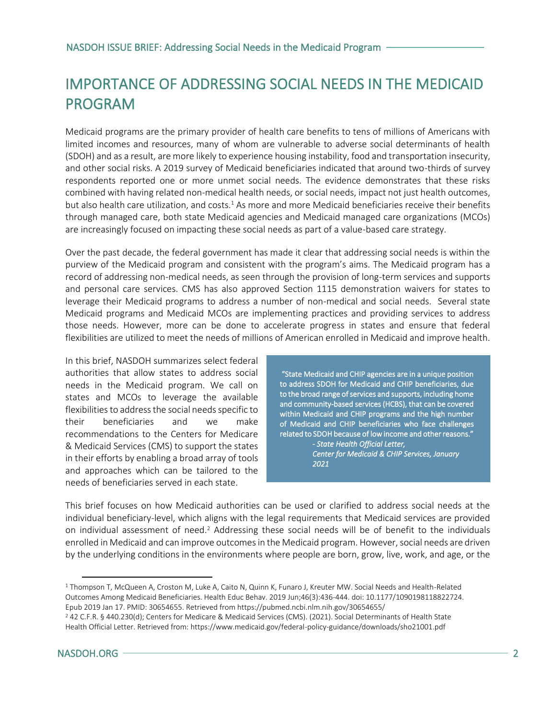# IMPORTANCE OF ADDRESSING SOCIAL NEEDS IN THE MEDICAID PROGRAM

Medicaid programs are the primary provider of health care benefits to tens of millions of Americans with limited incomes and resources, many of whom are vulnerable to adverse social determinants of health (SDOH) and as a result, are more likely to experience housing instability, food and transportation insecurity, and other social risks. A 2019 survey of Medicaid beneficiaries indicated that around two-thirds of survey respondents reported one or more unmet social needs. The evidence demonstrates that these risks combined with having related non-medical health needs, or social needs, impact not just health outcomes, but also health care utilization, and costs.<sup>1</sup> As more and more Medicaid beneficiaries receive their benefits through managed care, both state Medicaid agencies and Medicaid managed care organizations (MCOs) are increasingly focused on impacting these social needs as part of a value-based care strategy.

Over the past decade, the federal government has made it clear that addressing social needs is within the purview of the Medicaid program and consistent with the program's aims. The Medicaid program has a record of addressing non-medical needs, as seen through the provision of long-term services and supports and personal care services. CMS has also approved Section 1115 demonstration waivers for states to leverage their Medicaid programs to address a number of non-medical and social needs. Several state Medicaid programs and Medicaid MCOs are implementing practices and providing services to address those needs. However, more can be done to accelerate progress in states and ensure that federal flexibilities are utilized to meet the needs of millions of American enrolled in Medicaid and improve health.

In this brief, NASDOH summarizes select federal authorities that allow states to address social needs in the Medicaid program. We call on states and MCOs to leverage the available flexibilities to address the social needs specific to their beneficiaries and we make recommendations to the Centers for Medicare & Medicaid Services (CMS) to support the states in their efforts by enabling a broad array of tools and approaches which can be tailored to the needs of beneficiaries served in each state.

 "State Medicaid and CHIP agencies are in a unique position to address SDOH for Medicaid and CHIP beneficiaries, due to the broad range of services and supports, including home and community-based services (HCBS), that can be covered within Medicaid and CHIP programs and the high number of Medicaid and CHIP beneficiaries who face challenges related to SDOH because of low income and other reasons." *- State Health Official Letter, Center for Medicaid & CHIP Services, January* 

*2021* 

This brief focuses on how Medicaid authorities can be used or clarified to address social needs at the individual beneficiary-level, which aligns with the legal requirements that Medicaid services are provided on individual assessment of need.<sup>2</sup> Addressing these social needs will be of benefit to the individuals enrolled in Medicaid and can improve outcomes in the Medicaid program. However, social needs are driven by the underlying conditions in the environments where people are born, grow, live, work, and age, or the

<sup>&</sup>lt;sup>1</sup> Thompson T, McQueen A, Croston M, Luke A, Caito N, Quinn K, Funaro J, Kreuter MW. Social Needs and Health-Related Outcomes Among Medicaid Beneficiaries. Health Educ Behav. 2019 Jun;46(3):436-444. doi: 10.1177/1090198118822724. Epub 2019 Jan 17. PMID: 30654655. Retrieved from https://pubmed.ncbi.nlm.nih.gov/30654655/

<sup>2</sup> 42 C.F.R. § 440.230(d); Centers for Medicare & Medicaid Services (CMS). (2021). Social Determinants of Health State Health Official Letter. Retrieved from: https://www.medicaid.gov/federal-policy-guidance/downloads/sho21001.pdf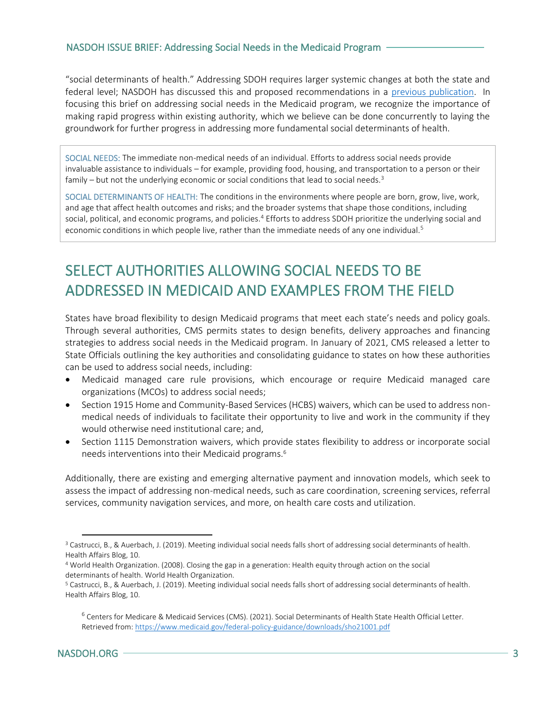"social determinants of health." Addressing SDOH requires larger systemic changes at both the state and federal level; NASDOH has discussed this and proposed recommendations in a [previous publication.](https://nasdoh.org/wp-content/uploads/2020/12/Pooled-Funding-Brief_FINAL.pdf) In focusing this brief on addressing social needs in the Medicaid program, we recognize the importance of making rapid progress within existing authority, which we believe can be done concurrently to laying the groundwork for further progress in addressing more fundamental social determinants of health.

SOCIAL NEEDS: The immediate non-medical needs of an individual. Efforts to address social needs provide invaluable assistance to individuals – for example, providing food, housing, and transportation to a person or their family – but not the underlying economic or social conditions that lead to social needs. $3$ 

SOCIAL DETERMINANTS OF HEALTH: The conditions in the environments where people are born, grow, live, work, and age that affect health outcomes and risks; and the broader systems that shape those conditions, including social, political, and economic programs, and policies.<sup>4</sup> Efforts to address SDOH prioritize the underlying social and economic conditions in which people live, rather than the immediate needs of any one individual.<sup>5</sup>

# SELECT AUTHORITIES ALLOWING SOCIAL NEEDS TO BE ADDRESSED IN MEDICAID AND EXAMPLES FROM THE FIELD

States have broad flexibility to design Medicaid programs that meet each state's needs and policy goals. Through several authorities, CMS permits states to design benefits, delivery approaches and financing strategies to address social needs in the Medicaid program. In January of 2021, CMS released a letter to State Officials outlining the key authorities and consolidating guidance to states on how these authorities can be used to address social needs, including:

- Medicaid managed care rule provisions, which encourage or require Medicaid managed care organizations (MCOs) to address social needs;
- Section 1915 Home and Community-Based Services (HCBS) waivers, which can be used to address nonmedical needs of individuals to facilitate their opportunity to live and work in the community if they would otherwise need institutional care; and,
- Section 1115 Demonstration waivers, which provide states flexibility to address or incorporate social needs interventions into their Medicaid programs.<sup>6</sup>

Additionally, there are existing and emerging alternative payment and innovation models, which seek to assess the impact of addressing non-medical needs, such as care coordination, screening services, referral services, community navigation services, and more, on health care costs and utilization.

<sup>3</sup> Castrucci, B., & Auerbach, J. (2019). Meeting individual social needs falls short of addressing social determinants of health. Health Affairs Blog, 10.

<sup>4</sup> World Health Organization. (2008). Closing the gap in a generation: Health equity through action on the social determinants of health. World Health Organization.

<sup>5</sup> Castrucci, B., & Auerbach, J. (2019). Meeting individual social needs falls short of addressing social determinants of health. Health Affairs Blog, 10.

<sup>6</sup> Centers for Medicare & Medicaid Services (CMS). (2021). Social Determinants of Health State Health Official Letter. Retrieved from:<https://www.medicaid.gov/federal-policy-guidance/downloads/sho21001.pdf>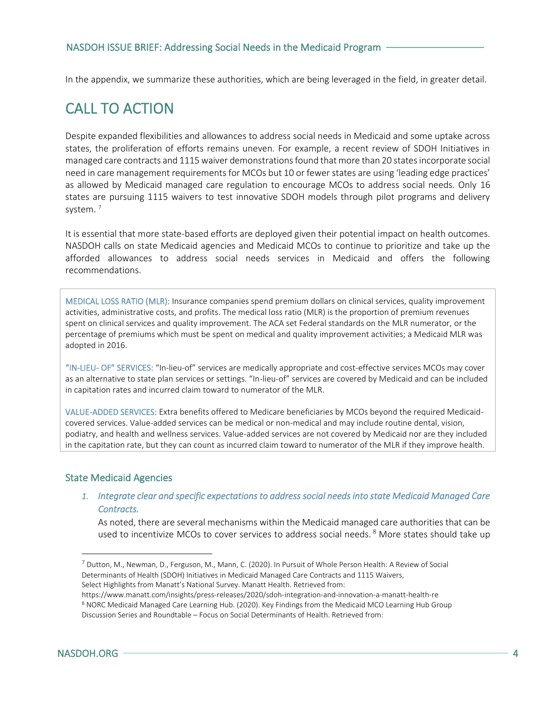### NASDOH ISSUE BRIEF: Addressing Social Needs in the Medicaid Program

In the appendix, we summarize these authorities, which are being leveraged in the field, in greater detail.

# CALL TO ACTION

Despite expanded flexibilities and allowances to address social needs in Medicaid and some uptake across states, the proliferation of efforts remains uneven. For example, a recent review of SDOH Initiatives in managed care contracts and 1115 waiver demonstrations found that more than 20 states incorporate social need in care management requirements for MCOs but 10 or fewer states are using 'leading edge practices' as allowed by Medicaid managed care regulation to encourage MCOs to address social needs. Only 16 states are pursuing 1115 waivers to test innovative SDOH models through pilot programs and delivery system. <sup>7</sup>

It is essential that more state-based efforts are deployed given their potential impact on health outcomes. NASDOH calls on state Medicaid agencies and Medicaid MCOs to continue to prioritize and take up the afforded allowances to address social needs services in Medicaid and offers the following recommendations.

MEDICAL LOSS RATIO (MLR): Insurance companies spend premium dollars on clinical services, quality improvement activities, administrative costs, and profits. The medical loss ratio (MLR) is the proportion of premium revenues spent on clinical services and quality improvement. The ACA set Federal standards on the MLR numerator, or the percentage of premiums which must be spent on medical and quality improvement activities; a Medicaid MLR was adopted in 2016.

"IN-LIEU- OF" SERVICES: "In-lieu-of" services are medically appropriate and cost-effective services MCOs may cover as an alternative to state plan services or settings. "In-lieu-of" services are covered by Medicaid and can be included in capitation rates and incurred claim toward to numerator of the MLR.

VALUE-ADDED SERVICES: Extra benefits offered to Medicare beneficiaries by MCOs beyond the required Medicaidcovered services. Value-added services can be medical or non-medical and may include routine dental, vision, podiatry, and health and wellness services. Value-added services are not covered by Medicaid nor are they included in the capitation rate, but they can count as incurred claim toward to numerator of the MLR if they improve health.

#### State Medicaid Agencies

#### *1. Integrate clear and specific expectations to address social needs into state Medicaid Managed Care Contracts.*

As noted, there are several mechanisms within the Medicaid managed care authorities that can be used to incentivize MCOs to cover services to address social needs. <sup>8</sup> More states should take up

https://www.manatt.com/insights/press-releases/2020/sdoh-integration-and-innovation-a-manatt-health-re <sup>8</sup> NORC Medicaid Managed Care Learning Hub. (2020). Key Findings from the Medicaid MCO Learning Hub Group Discussion Series and Roundtable – Focus on Social Determinants of Health. Retrieved from:



<sup>7</sup> Dutton, M., Newman, D., Ferguson, M., Mann, C. (2020). In Pursuit of Whole Person Health: A Review of Social Determinants of Health (SDOH) Initiatives in Medicaid Managed Care Contracts and 1115 Waivers,

Select Highlights from Manatt's National Survey. Manatt Health. Retrieved from: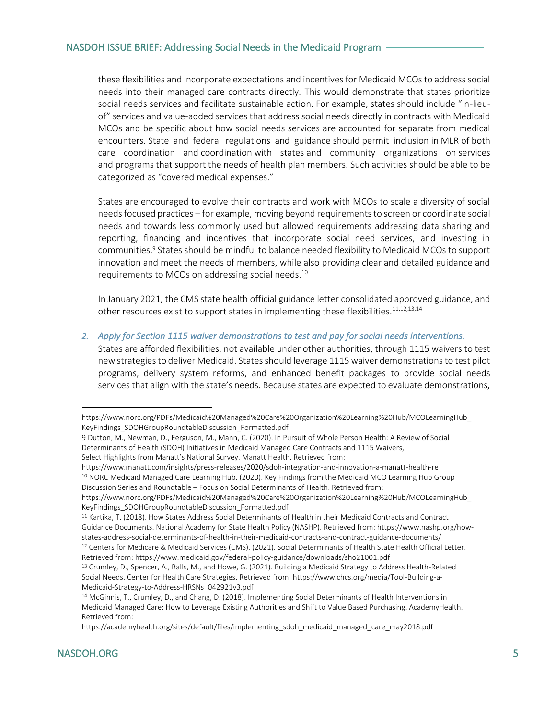### NASDOH ISSUE BRIEF: Addressing Social Needs in the Medicaid Program

these flexibilities and incorporate expectations and incentives for Medicaid MCOs to address social needs into their managed care contracts directly. This would demonstrate that states prioritize social needs services and facilitate sustainable action. For example, states should include "in-lieuof" services and value-added services that address social needs directly in contracts with Medicaid MCOs and be specific about how social needs services are accounted for separate from medical encounters. State and federal regulations and guidance should permit inclusion in MLR of both care coordination and coordination with states and community organizations on services and programs that support the needs of health plan members. Such activities should be able to be categorized as "covered medical expenses."

States are encouraged to evolve their contracts and work with MCOs to scale a diversity of social needs focused practices – for example, moving beyond requirements to screen or coordinate social needs and towards less commonly used but allowed requirements addressing data sharing and reporting, financing and incentives that incorporate social need services, and investing in communities.<sup>9</sup> States should be mindful to balance needed flexibility to Medicaid MCOs to support innovation and meet the needs of members, while also providing clear and detailed guidance and requirements to MCOs on addressing social needs.<sup>10</sup>

In January 2021, the CMS state health official guidance letter consolidated approved guidance, and other resources exist to support states in implementing these flexibilities.<sup>11,12,13,14</sup>

#### *2. Apply for Section 1115 waiver demonstrations to test and pay for social needs interventions.*

States are afforded flexibilities, not available under other authorities, through 1115 waivers to test new strategies to deliver Medicaid. States should leverage 1115 waiver demonstrations to test pilot programs, delivery system reforms, and enhanced benefit packages to provide social needs services that align with the state's needs. Because states are expected to evaluate demonstrations,

Select Highlights from Manatt's National Survey. Manatt Health. Retrieved from:

https://www.norc.org/PDFs/Medicaid%20Managed%20Care%20Organization%20Learning%20Hub/MCOLearningHub\_ KeyFindings\_SDOHGroupRoundtableDiscussion\_Formatted.pdf

<sup>9</sup> Dutton, M., Newman, D., Ferguson, M., Mann, C. (2020). In Pursuit of Whole Person Health: A Review of Social Determinants of Health (SDOH) Initiatives in Medicaid Managed Care Contracts and 1115 Waivers,

https://www.manatt.com/insights/press-releases/2020/sdoh-integration-and-innovation-a-manatt-health-re <sup>10</sup> NORC Medicaid Managed Care Learning Hub. (2020). Key Findings from the Medicaid MCO Learning Hub Group Discussion Series and Roundtable – Focus on Social Determinants of Health. Retrieved from:

https://www.norc.org/PDFs/Medicaid%20Managed%20Care%20Organization%20Learning%20Hub/MCOLearningHub\_ KeyFindings\_SDOHGroupRoundtableDiscussion\_Formatted.pdf

 $11$  Kartika, T. (2018). How States Address Social Determinants of Health in their Medicaid Contracts and Contract Guidance Documents. National Academy for State Health Policy (NASHP). Retrieved from: https://www.nashp.org/howstates-address-social-determinants-of-health-in-their-medicaid-contracts-and-contract-guidance-documents/

<sup>&</sup>lt;sup>12</sup> Centers for Medicare & Medicaid Services (CMS). (2021). Social Determinants of Health State Health Official Letter. Retrieved from: https://www.medicaid.gov/federal-policy-guidance/downloads/sho21001.pdf

<sup>&</sup>lt;sup>13</sup> Crumley, D., Spencer, A., Ralls, M., and Howe, G. (2021). Building a Medicaid Strategy to Address Health-Related Social Needs. Center for Health Care Strategies. Retrieved from: https://www.chcs.org/media/Tool-Building-a-Medicaid-Strategy-to-Address-HRSNs\_042921v3.pdf

<sup>14</sup> McGinnis, T., Crumley, D., and Chang, D. (2018). Implementing Social Determinants of Health Interventions in Medicaid Managed Care: How to Leverage Existing Authorities and Shift to Value Based Purchasing. AcademyHealth. Retrieved from:

https://academyhealth.org/sites/default/files/implementing\_sdoh\_medicaid\_managed\_care\_may2018.pdf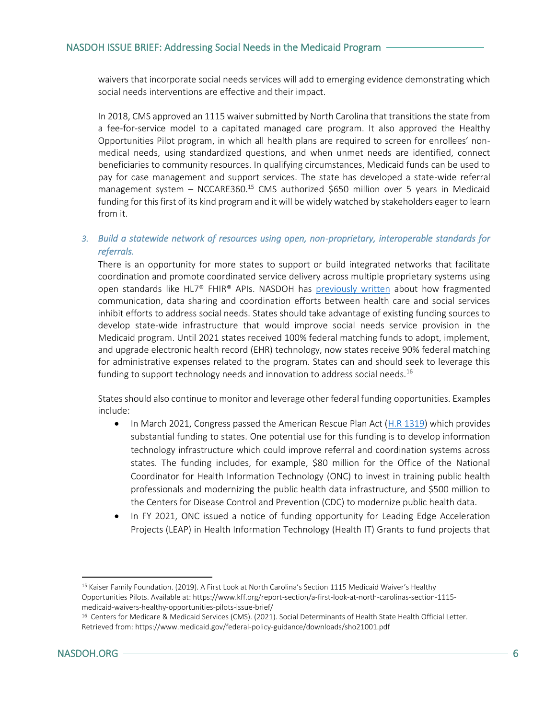waivers that incorporate social needs services will add to emerging evidence demonstrating which social needs interventions are effective and their impact.

In 2018, CMS approved an 1115 waiver submitted by North Carolina that transitions the state from a fee-for-service model to a capitated managed care program. It also approved the Healthy Opportunities Pilot program, in which all health plans are required to screen for enrollees' nonmedical needs, using standardized questions, and when unmet needs are identified, connect beneficiaries to community resources. In qualifying circumstances, Medicaid funds can be used to pay for case management and support services. The state has developed a state-wide referral management system - NCCARE360.<sup>15</sup> CMS authorized \$650 million over 5 years in Medicaid funding for this first of its kind program and it will be widely watched by stakeholders eager to learn from it.

### *3. Build a statewide network of resources using open, non-proprietary, interoperable standards for referrals.*

There is an opportunity for more states to support or build integrated networks that facilitate coordination and promote coordinated service delivery across multiple proprietary systems using open standards like HL7® FHIR® APIs. NASDOH has [previously written](https://nasdoh.org/wp-content/uploads/2020/08/NASDOH-Data-Interoperability_FINAL.pdf) about how fragmented communication, data sharing and coordination efforts between health care and social services inhibit efforts to address social needs. States should take advantage of existing funding sources to develop state-wide infrastructure that would improve social needs service provision in the Medicaid program. Until 2021 states received 100% federal matching funds to adopt, implement, and upgrade electronic health record (EHR) technology, now states receive 90% federal matching for administrative expenses related to the program. States can and should seek to leverage this funding to support technology needs and innovation to address social needs.<sup>16</sup>

States should also continue to monitor and leverage other federal funding opportunities. Examples include:

- In March 2021, Congress passed the American Rescue Plan Act [\(H.R 1319\)](https://www.congress.gov/bill/117th-congress/house-bill/1319/text) which provides substantial funding to states. One potential use for this funding is to develop information technology infrastructure which could improve referral and coordination systems across states. The funding includes, for example, \$80 million for the Office of the National Coordinator for Health Information Technology (ONC) to invest in training public health professionals and modernizing the public health data infrastructure, and \$500 million to the Centers for Disease Control and Prevention (CDC) to modernize public health data.
- In FY 2021, ONC issued a notice of funding opportunity for Leading Edge Acceleration Projects (LEAP) in Health Information Technology (Health IT) Grants to fund projects that

<sup>&</sup>lt;sup>16</sup> Centers for Medicare & Medicaid Services (CMS). (2021). Social Determinants of Health State Health Official Letter. Retrieved from: https://www.medicaid.gov/federal-policy-guidance/downloads/sho21001.pdf



<sup>&</sup>lt;sup>15</sup> Kaiser Family Foundation. (2019). A First Look at North Carolina's Section 1115 Medicaid Waiver's Healthy Opportunities Pilots. Available at: https://www.kff.org/report-section/a-first-look-at-north-carolinas-section-1115 medicaid-waivers-healthy-opportunities-pilots-issue-brief/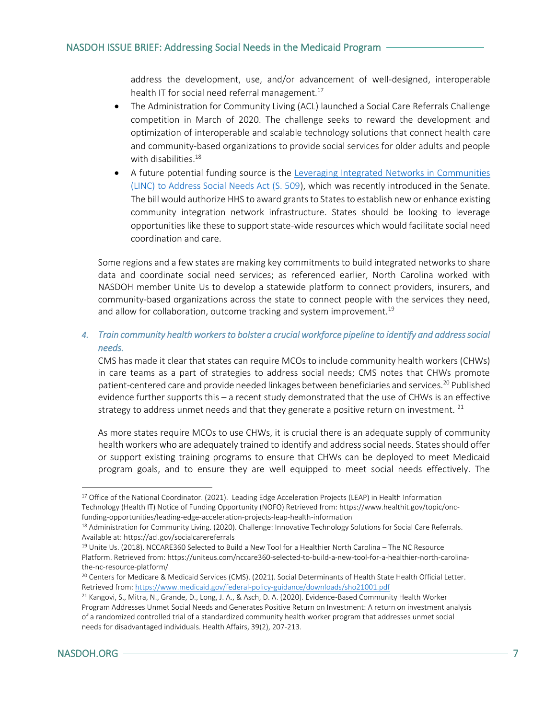address the development, use, and/or advancement of well-designed, interoperable health IT for social need referral management. $17$ 

- The Administration for Community Living (ACL) launched a Social Care Referrals Challenge competition in March of 2020. The challenge seeks to reward the development and optimization of interoperable and scalable technology solutions that connect health care and community-based organizations to provide social services for older adults and people with disabilities.<sup>18</sup>
- A future potential funding source is the [Leveraging Integrated Networks in Communities](https://www.congress.gov/bill/117th-congress/senate-bill/509?q=%7B%22search%22%3A%5B%22S.509%22%5D%7D&s=2&r=1)  [\(LINC\) to Address Social Needs Act \(S. 509\)](https://www.congress.gov/bill/117th-congress/senate-bill/509?q=%7B%22search%22%3A%5B%22S.509%22%5D%7D&s=2&r=1), which was recently introduced in the Senate. The bill would authorize HHS to award grants to States to establish new or enhance existing community integration network infrastructure. States should be looking to leverage opportunities like these to support state-wide resources which would facilitate social need coordination and care.

Some regions and a few states are making key commitments to build integrated networks to share data and coordinate social need services; as referenced earlier, North Carolina worked with NASDOH member Unite Us to develop a statewide platform to connect providers, insurers, and community-based organizations across the state to connect people with the services they need, and allow for collaboration, outcome tracking and system improvement.<sup>19</sup>

### *4. Train community health workers to bolster a crucial workforce pipeline to identify and address social needs.*

CMS has made it clear that states can require MCOs to include community health workers (CHWs) in care teams as a part of strategies to address social needs; CMS notes that CHWs promote patient-centered care and provide needed linkages between beneficiaries and services.<sup>20</sup> Published evidence further supports this – a recent study demonstrated that the use of CHWs is an effective strategy to address unmet needs and that they generate a positive return on investment.  $^{21}$ 

As more states require MCOs to use CHWs, it is crucial there is an adequate supply of community health workers who are adequately trained to identify and address social needs. States should offer or support existing training programs to ensure that CHWs can be deployed to meet Medicaid program goals, and to ensure they are well equipped to meet social needs effectively. The

<sup>&</sup>lt;sup>17</sup> Office of the National Coordinator. (2021). Leading Edge Acceleration Projects (LEAP) in Health Information Technology (Health IT) Notice of Funding Opportunity (NOFO) Retrieved from: https://www.healthit.gov/topic/oncfunding-opportunities/leading-edge-acceleration-projects-leap-health-information

<sup>&</sup>lt;sup>18</sup> Administration for Community Living. (2020). Challenge: Innovative Technology Solutions for Social Care Referrals. Available at: https://acl.gov/socialcarereferrals

<sup>19</sup> Unite Us. (2018). NCCARE360 Selected to Build a New Tool for a Healthier North Carolina – The NC Resource Platform. Retrieved from: https://uniteus.com/nccare360-selected-to-build-a-new-tool-for-a-healthier-north-carolinathe-nc-resource-platform/

<sup>20</sup> Centers for Medicare & Medicaid Services (CMS). (2021). Social Determinants of Health State Health Official Letter. Retrieved from:<https://www.medicaid.gov/federal-policy-guidance/downloads/sho21001.pdf>

<sup>&</sup>lt;sup>21</sup> Kangovi, S., Mitra, N., Grande, D., Long, J. A., & Asch, D. A. (2020). Evidence-Based Community Health Worker Program Addresses Unmet Social Needs and Generates Positive Return on Investment: A return on investment analysis of a randomized controlled trial of a standardized community health worker program that addresses unmet social needs for disadvantaged individuals. Health Affairs, 39(2), 207-213.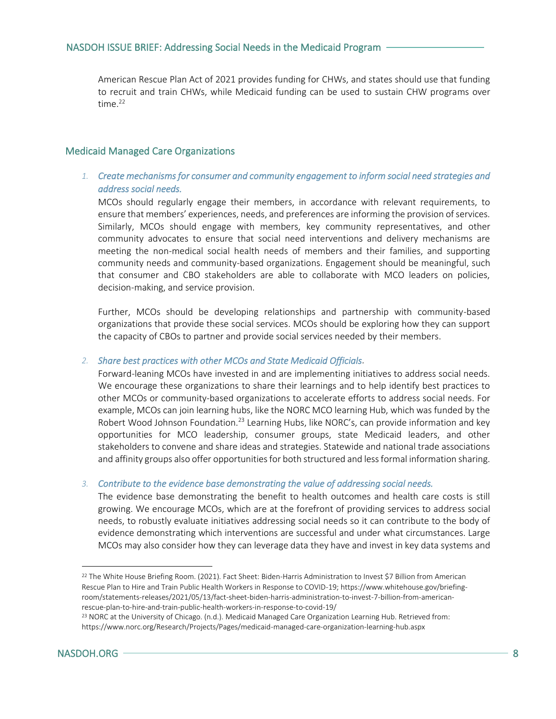American Rescue Plan Act of 2021 provides funding for CHWs, and states should use that funding to recruit and train CHWs, while Medicaid funding can be used to sustain CHW programs over time $22$ 

#### Medicaid Managed Care Organizations

### *1. Create mechanisms for consumer and community engagement to inform social need strategies and address social needs.*

MCOs should regularly engage their members, in accordance with relevant requirements, to ensure that members' experiences, needs, and preferences are informing the provision of services. Similarly, MCOs should engage with members, key community representatives, and other community advocates to ensure that social need interventions and delivery mechanisms are meeting the non-medical social health needs of members and their families, and supporting community needs and community-based organizations. Engagement should be meaningful, such that consumer and CBO stakeholders are able to collaborate with MCO leaders on policies, decision-making, and service provision.

Further, MCOs should be developing relationships and partnership with community-based organizations that provide these social services. MCOs should be exploring how they can support the capacity of CBOs to partner and provide social services needed by their members.

#### *2. Share best practices with other MCOs and State Medicaid Officials.*

Forward-leaning MCOs have invested in and are implementing initiatives to address social needs. We encourage these organizations to share their learnings and to help identify best practices to other MCOs or community-based organizations to accelerate efforts to address social needs. For example, MCOs can join learning hubs, like the NORC MCO learning Hub, which was funded by the Robert Wood Johnson Foundation.<sup>23</sup> Learning Hubs, like NORC's, can provide information and key opportunities for MCO leadership, consumer groups, state Medicaid leaders, and other stakeholders to convene and share ideas and strategies. Statewide and national trade associations and affinity groups also offer opportunities for both structured and less formal information sharing.

#### *3. Contribute to the evidence base demonstrating the value of addressing social needs.*

The evidence base demonstrating the benefit to health outcomes and health care costs is still growing. We encourage MCOs, which are at the forefront of providing services to address social needs, to robustly evaluate initiatives addressing social needs so it can contribute to the body of evidence demonstrating which interventions are successful and under what circumstances. Large MCOs may also consider how they can leverage data they have and invest in key data systems and

<sup>23</sup> NORC at the University of Chicago. (n.d.). Medicaid Managed Care Organization Learning Hub. Retrieved from: https://www.norc.org/Research/Projects/Pages/medicaid-managed-care-organization-learning-hub.aspx



<sup>&</sup>lt;sup>22</sup> The White House Briefing Room. (2021). Fact Sheet: Biden-Harris Administration to Invest \$7 Billion from American Rescue Plan to Hire and Train Public Health Workers in Response to COVID-19; https://www.whitehouse.gov/briefingroom/statements-releases/2021/05/13/fact-sheet-biden-harris-administration-to-invest-7-billion-from-americanrescue-plan-to-hire-and-train-public-health-workers-in-response-to-covid-19/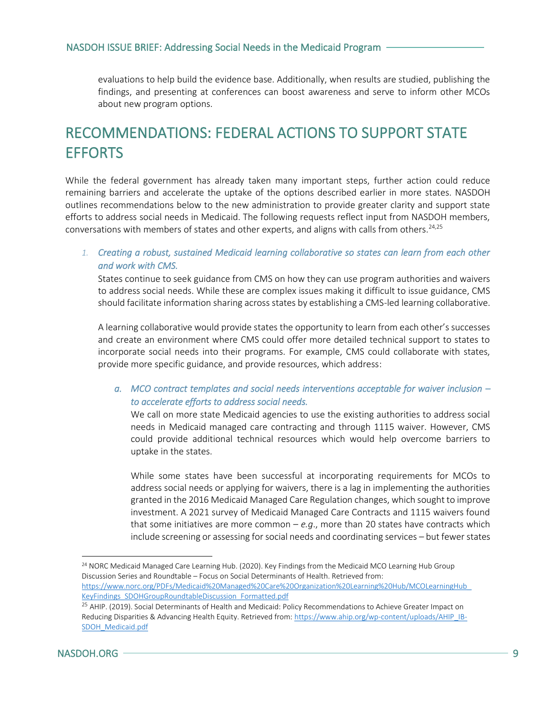evaluations to help build the evidence base. Additionally, when results are studied, publishing the findings, and presenting at conferences can boost awareness and serve to inform other MCOs about new program options.

# RECOMMENDATIONS: FEDERAL ACTIONS TO SUPPORT STATE **FFFORTS**

While the federal government has already taken many important steps, further action could reduce remaining barriers and accelerate the uptake of the options described earlier in more states. NASDOH outlines recommendations below to the new administration to provide greater clarity and support state efforts to address social needs in Medicaid. The following requests reflect input from NASDOH members, conversations with members of states and other experts, and aligns with calls from others.<sup>24,25</sup>

*1. Creating a robust, sustained Medicaid learning collaborative so states can learn from each other and work with CMS.* 

States continue to seek guidance from CMS on how they can use program authorities and waivers to address social needs. While these are complex issues making it difficult to issue guidance, CMS should facilitate information sharing across states by establishing a CMS-led learning collaborative.

A learning collaborative would provide states the opportunity to learn from each other's successes and create an environment where CMS could offer more detailed technical support to states to incorporate social needs into their programs. For example, CMS could collaborate with states, provide more specific guidance, and provide resources, which address:

### *a. MCO contract templates and social needs interventions acceptable for waiver inclusion – to accelerate efforts to address social needs.*

We call on more state Medicaid agencies to use the existing authorities to address social needs in Medicaid managed care contracting and through 1115 waiver. However, CMS could provide additional technical resources which would help overcome barriers to uptake in the states.

While some states have been successful at incorporating requirements for MCOs to address social needs or applying for waivers, there is a lag in implementing the authorities granted in the 2016 Medicaid Managed Care Regulation changes, which sought to improve investment. A 2021 survey of Medicaid Managed Care Contracts and 1115 waivers found that some initiatives are more common  $-e.g.,$  more than 20 states have contracts which include screening or assessing for social needs and coordinating services – but fewer states

<sup>&</sup>lt;sup>24</sup> NORC Medicaid Managed Care Learning Hub. (2020). Key Findings from the Medicaid MCO Learning Hub Group Discussion Series and Roundtable – Focus on Social Determinants of Health. Retrieved from: [https://www.norc.org/PDFs/Medicaid%20Managed%20Care%20Organization%20Learning%20Hub/MCOLearningHub\\_](https://www.norc.org/PDFs/Medicaid%20Managed%20Care%20Organization%20Learning%20Hub/MCOLearningHub_KeyFindings_SDOHGroupRoundtableDiscussion_Formatted.pdf) [KeyFindings\\_SDOHGroupRoundtableDiscussion\\_Formatted.pdf](https://www.norc.org/PDFs/Medicaid%20Managed%20Care%20Organization%20Learning%20Hub/MCOLearningHub_KeyFindings_SDOHGroupRoundtableDiscussion_Formatted.pdf)

<sup>&</sup>lt;sup>25</sup> AHIP. (2019). Social Determinants of Health and Medicaid: Policy Recommendations to Achieve Greater Impact on Reducing Disparities & Advancing Health Equity. Retrieved from[: https://www.ahip.org/wp-content/uploads/AHIP\\_IB-](https://www.ahip.org/wp-content/uploads/AHIP_IB-SDOH_Medicaid.pdf)[SDOH\\_Medicaid.pdf](https://www.ahip.org/wp-content/uploads/AHIP_IB-SDOH_Medicaid.pdf)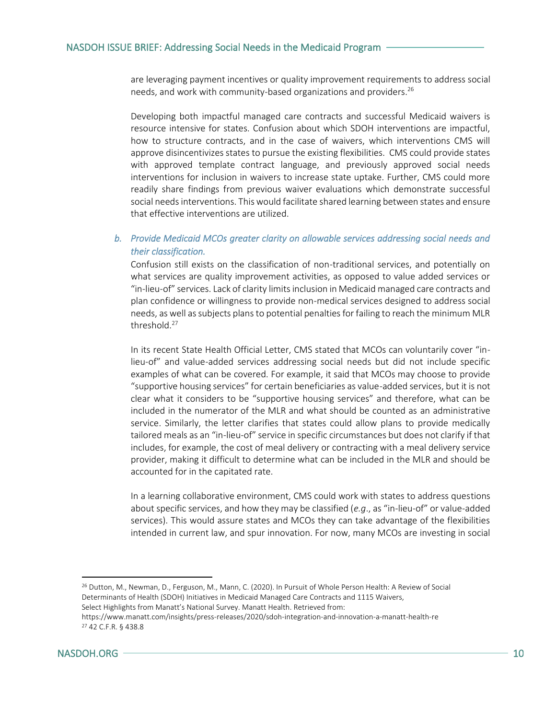are leveraging payment incentives or quality improvement requirements to address social needs, and work with community-based organizations and providers.<sup>26</sup>

Developing both impactful managed care contracts and successful Medicaid waivers is resource intensive for states. Confusion about which SDOH interventions are impactful, how to structure contracts, and in the case of waivers, which interventions CMS will approve disincentivizes states to pursue the existing flexibilities. CMS could provide states with approved template contract language, and previously approved social needs interventions for inclusion in waivers to increase state uptake. Further, CMS could more readily share findings from previous waiver evaluations which demonstrate successful social needs interventions. This would facilitate shared learning between states and ensure that effective interventions are utilized.

#### *b. Provide Medicaid MCOs greater clarity on allowable services addressing social needs and their classification.*

Confusion still exists on the classification of non-traditional services, and potentially on what services are quality improvement activities, as opposed to value added services or "in-lieu-of" services. Lack of clarity limits inclusion in Medicaid managed care contracts and plan confidence or willingness to provide non-medical services designed to address social needs, as well as subjects plans to potential penalties for failing to reach the minimum MLR threshold.<sup>27</sup>

In its recent State Health Official Letter, CMS stated that MCOs can voluntarily cover "inlieu-of" and value-added services addressing social needs but did not include specific examples of what can be covered. For example, it said that MCOs may choose to provide "supportive housing services" for certain beneficiaries as value-added services, but it is not clear what it considers to be "supportive housing services" and therefore, what can be included in the numerator of the MLR and what should be counted as an administrative service. Similarly, the letter clarifies that states could allow plans to provide medically tailored meals as an "in-lieu-of" service in specific circumstances but does not clarify if that includes, for example, the cost of meal delivery or contracting with a meal delivery service provider, making it difficult to determine what can be included in the MLR and should be accounted for in the capitated rate.

In a learning collaborative environment, CMS could work with states to address questions about specific services, and how they may be classified (*e.g*., as "in-lieu-of" or value-added services). This would assure states and MCOs they can take advantage of the flexibilities intended in current law, and spur innovation. For now, many MCOs are investing in social

<sup>26</sup> Dutton, M., Newman, D., Ferguson, M., Mann, C. (2020). In Pursuit of Whole Person Health: A Review of Social Determinants of Health (SDOH) Initiatives in Medicaid Managed Care Contracts and 1115 Waivers, Select Highlights from Manatt's National Survey. Manatt Health. Retrieved from:

https://www.manatt.com/insights/press-releases/2020/sdoh-integration-and-innovation-a-manatt-health-re <sup>27</sup> 42 C.F.R. § 438.8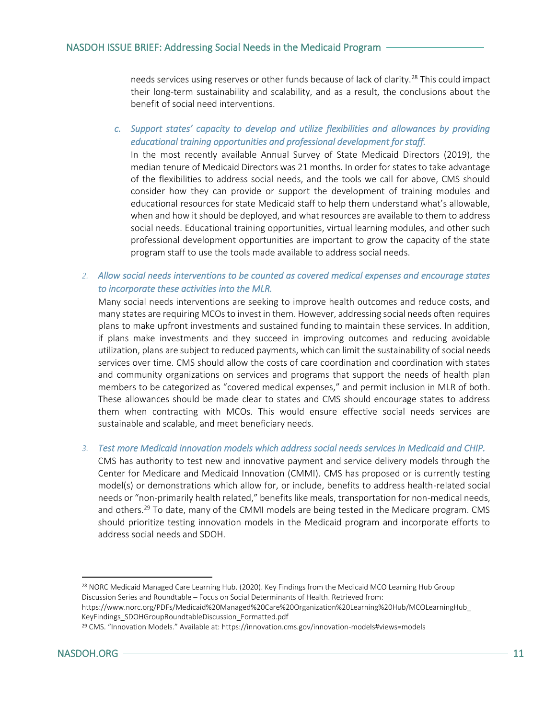needs services using reserves or other funds because of lack of clarity.<sup>28</sup> This could impact their long-term sustainability and scalability, and as a result, the conclusions about the benefit of social need interventions.

*c. Support states' capacity to develop and utilize flexibilities and allowances by providing educational training opportunities and professional development for staff.* 

In the most recently available Annual Survey of State Medicaid Directors (2019), the median tenure of Medicaid Directors was 21 months. In order for states to take advantage of the flexibilities to address social needs, and the tools we call for above, CMS should consider how they can provide or support the development of training modules and educational resources for state Medicaid staff to help them understand what's allowable, when and how it should be deployed, and what resources are available to them to address social needs. Educational training opportunities, virtual learning modules, and other such professional development opportunities are important to grow the capacity of the state program staff to use the tools made available to address social needs.

#### *2. Allow social needs interventions to be counted as covered medical expenses and encourage states to incorporate these activities into the MLR.*

Many social needs interventions are seeking to improve health outcomes and reduce costs, and many states are requiring MCOs to invest in them. However, addressing social needs often requires plans to make upfront investments and sustained funding to maintain these services. In addition, if plans make investments and they succeed in improving outcomes and reducing avoidable utilization, plans are subject to reduced payments, which can limit the sustainability of social needs services over time. CMS should allow the costs of care coordination and coordination with states and community organizations on services and programs that support the needs of health plan members to be categorized as "covered medical expenses," and permit inclusion in MLR of both. These allowances should be made clear to states and CMS should encourage states to address them when contracting with MCOs. This would ensure effective social needs services are sustainable and scalable, and meet beneficiary needs.

#### *3. Test more Medicaid innovation models which address social needs services in Medicaid and CHIP.*

CMS has authority to test new and innovative payment and service delivery models through the Center for Medicare and Medicaid Innovation (CMMI). CMS has proposed or is currently testing model(s) or demonstrations which allow for, or include, benefits to address health-related social needs or "non-primarily health related," benefits like meals, transportation for non-medical needs, and others.<sup>29</sup> To date, many of the CMMI models are being tested in the Medicare program. CMS should prioritize testing innovation models in the Medicaid program and incorporate efforts to address social needs and SDOH.

<sup>&</sup>lt;sup>29</sup> CMS. "Innovation Models." Available at: https://innovation.cms.gov/innovation-models#views=models



<sup>&</sup>lt;sup>28</sup> NORC Medicaid Managed Care Learning Hub. (2020). Key Findings from the Medicaid MCO Learning Hub Group Discussion Series and Roundtable – Focus on Social Determinants of Health. Retrieved from:

https://www.norc.org/PDFs/Medicaid%20Managed%20Care%20Organization%20Learning%20Hub/MCOLearningHub\_ KeyFindings\_SDOHGroupRoundtableDiscussion\_Formatted.pdf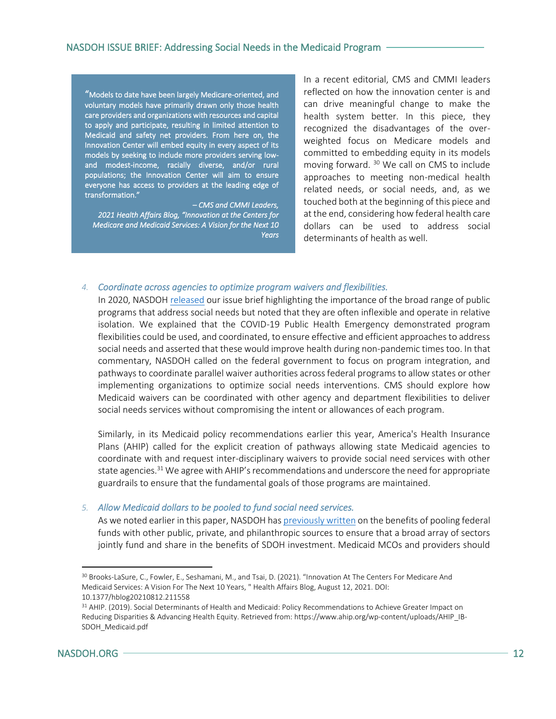"Models to date have been largely Medicare-oriented, and voluntary models have primarily drawn only those health care providers and organizations with resources and capital to apply and participate, resulting in limited attention to Medicaid and safety net providers. From here on, the Innovation Center will embed equity in every aspect of its models by seeking to include more providers serving lowand modest-income, racially diverse, and/or rural populations; the Innovation Center will aim to ensure everyone has access to providers at the leading edge of transformation."

*– CMS and CMMI Leaders, 2021 Health Affairs Blog, "Innovation at the Centers for Medicare and Medicaid Services: A Vision for the Next 10 Years*  In a recent editorial, CMS and CMMI leaders reflected on how the innovation center is and can drive meaningful change to make the health system better. In this piece, they recognized the disadvantages of the overweighted focus on Medicare models and committed to embedding equity in its models moving forward. <sup>30</sup> We call on CMS to include approaches to meeting non-medical health related needs, or social needs, and, as we touched both at the beginning of this piece and at the end, considering how federal health care dollars can be used to address social determinants of health as well.

#### *4. Coordinate across agencies to optimize program waivers and flexibilities.*

In 2020, NASDO[H released](https://nasdoh.org/wp-content/uploads/2020/12/NASDOH-COVID-19-Commentary-Waivers-and-Flexibilities_FINAL.pdf) our issue brief highlighting the importance of the broad range of public programs that address social needs but noted that they are often inflexible and operate in relative isolation. We explained that the COVID-19 Public Health Emergency demonstrated program flexibilities could be used, and coordinated, to ensure effective and efficient approaches to address social needs and asserted that these would improve health during non-pandemic times too. In that commentary, NASDOH called on the federal government to focus on program integration, and pathways to coordinate parallel waiver authorities across federal programs to allow states or other implementing organizations to optimize social needs interventions. CMS should explore how Medicaid waivers can be coordinated with other agency and department flexibilities to deliver social needs services without compromising the intent or allowances of each program.

Similarly, in its Medicaid policy recommendations earlier this year, America's Health Insurance Plans (AHIP) called for the explicit creation of pathways allowing state Medicaid agencies to coordinate with and request inter-disciplinary waivers to provide social need services with other state agencies.<sup>31</sup> We agree with AHIP's recommendations and underscore the need for appropriate guardrails to ensure that the fundamental goals of those programs are maintained.

*5. Allow Medicaid dollars to be pooled to fund social need services.* 

As we noted earlier in this paper, NASDOH ha[s previously written](https://nasdoh.org/wp-content/uploads/2020/12/Pooled-Funding-Brief_FINAL.pdf) on the benefits of pooling federal funds with other public, private, and philanthropic sources to ensure that a broad array of sectors jointly fund and share in the benefits of SDOH investment. Medicaid MCOs and providers should

<sup>30</sup> Brooks-LaSure, C., Fowler, E., Seshamani, M., and Tsai, D. (2021). "Innovation At The Centers For Medicare And Medicaid Services: A Vision For The Next 10 Years, " Health Affairs Blog, August 12, 2021. DOI: 10.1377/hblog20210812.211558

<sup>31</sup> AHIP. (2019). Social Determinants of Health and Medicaid: Policy Recommendations to Achieve Greater Impact on Reducing Disparities & Advancing Health Equity. Retrieved from: https://www.ahip.org/wp-content/uploads/AHIP\_IB-SDOH\_Medicaid.pdf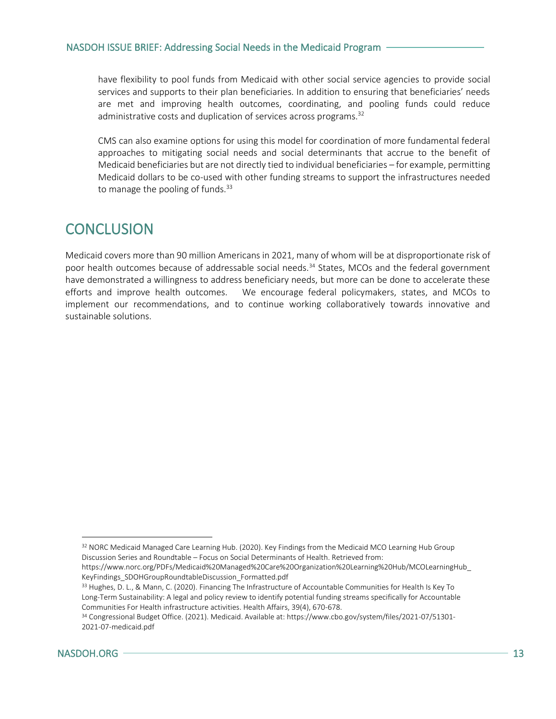have flexibility to pool funds from Medicaid with other social service agencies to provide social services and supports to their plan beneficiaries. In addition to ensuring that beneficiaries' needs are met and improving health outcomes, coordinating, and pooling funds could reduce administrative costs and duplication of services across programs.<sup>32</sup>

CMS can also examine options for using this model for coordination of more fundamental federal approaches to mitigating social needs and social determinants that accrue to the benefit of Medicaid beneficiaries but are not directly tied to individual beneficiaries – for example, permitting Medicaid dollars to be co-used with other funding streams to support the infrastructures needed to manage the pooling of funds. $33$ 

# **CONCLUSION**

Medicaid covers more than 90 million Americans in 2021, many of whom will be at disproportionate risk of poor health outcomes because of addressable social needs.<sup>34</sup> States, MCOs and the federal government have demonstrated a willingness to address beneficiary needs, but more can be done to accelerate these efforts and improve health outcomes. We encourage federal policymakers, states, and MCOs to implement our recommendations, and to continue working collaboratively towards innovative and sustainable solutions.

<sup>34</sup> Congressional Budget Office. (2021). Medicaid. Available at: https://www.cbo.gov/system/files/2021-07/51301- 2021-07-medicaid.pdf



<sup>32</sup> NORC Medicaid Managed Care Learning Hub. (2020). Key Findings from the Medicaid MCO Learning Hub Group Discussion Series and Roundtable – Focus on Social Determinants of Health. Retrieved from:

https://www.norc.org/PDFs/Medicaid%20Managed%20Care%20Organization%20Learning%20Hub/MCOLearningHub\_ KeyFindings\_SDOHGroupRoundtableDiscussion\_Formatted.pdf

<sup>&</sup>lt;sup>33</sup> Hughes, D. L., & Mann, C. (2020). Financing The Infrastructure of Accountable Communities for Health Is Key To Long-Term Sustainability: A legal and policy review to identify potential funding streams specifically for Accountable Communities For Health infrastructure activities. Health Affairs, 39(4), 670-678.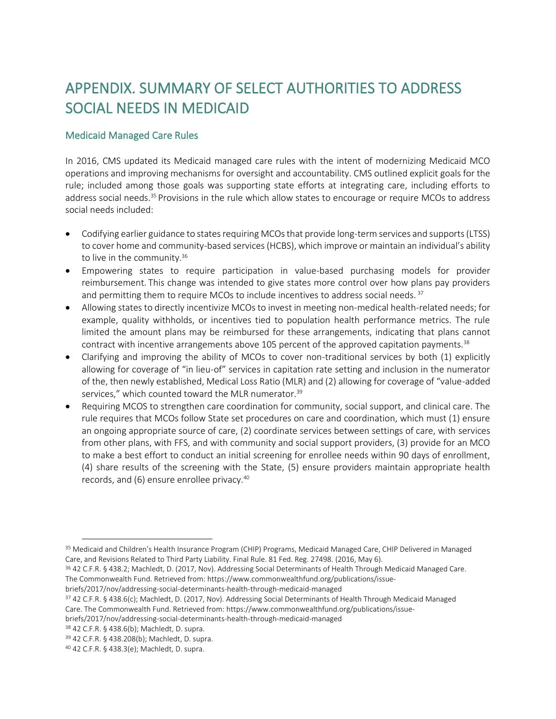# APPENDIX. SUMMARY OF SELECT AUTHORITIES TO ADDRESS SOCIAL NEEDS IN MEDICAID

## Medicaid Managed Care Rules

In 2016, CMS updated its Medicaid managed care rules with the intent of modernizing Medicaid MCO operations and improving mechanisms for oversight and accountability. CMS outlined explicit goals for the rule; included among those goals was supporting state efforts at integrating care, including efforts to address social needs.<sup>35</sup> Provisions in the rule which allow states to encourage or require MCOs to address social needs included:

- Codifying earlier guidance to states requiring MCOs that provide long-term services and supports (LTSS) to cover home and community-based services (HCBS), which improve or maintain an individual's ability to live in the community.<sup>36</sup>
- Empowering states to require participation in value-based purchasing models for provider reimbursement. This change was intended to give states more control over how plans pay providers and permitting them to require MCOs to include incentives to address social needs. <sup>37</sup>
- Allowing states to directly incentivize MCOs to invest in meeting non-medical health-related needs; for example, quality withholds, or incentives tied to population health performance metrics. The rule limited the amount plans may be reimbursed for these arrangements, indicating that plans cannot contract with incentive arrangements above 105 percent of the approved capitation payments.<sup>38</sup>
- Clarifying and improving the ability of MCOs to cover non-traditional services by both (1) explicitly allowing for coverage of "in lieu-of" services in capitation rate setting and inclusion in the numerator of the, then newly established, Medical Loss Ratio (MLR) and (2) allowing for coverage of "value-added services," which counted toward the MLR numerator.<sup>39</sup>
- Requiring MCOS to strengthen care coordination for community, social support, and clinical care. The rule requires that MCOs follow State set procedures on care and coordination, which must (1) ensure an ongoing appropriate source of care, (2) coordinate services between settings of care, with services from other plans, with FFS, and with community and social support providers, (3) provide for an MCO to make a best effort to conduct an initial screening for enrollee needs within 90 days of enrollment, (4) share results of the screening with the State, (5) ensure providers maintain appropriate health records, and (6) ensure enrollee privacy.<sup>40</sup>

- briefs/2017/nov/addressing-social-determinants-health-through-medicaid-managed
- <sup>37</sup> 42 C.F.R. § 438.6(c); Machledt, D. (2017, Nov). Addressing Social Determinants of Health Through Medicaid Managed Care. The Commonwealth Fund. Retrieved from: https://www.commonwealthfund.org/publications/issue-
- briefs/2017/nov/addressing-social-determinants-health-through-medicaid-managed

<sup>38</sup> 42 C.F.R. § 438.6(b); Machledt, D. supra.

<sup>35</sup> Medicaid and Children's Health Insurance Program (CHIP) Programs, Medicaid Managed Care, CHIP Delivered in Managed Care, and Revisions Related to Third Party Liability. Final Rule. 81 Fed. Reg. 27498. (2016, May 6).

<sup>36 42</sup> C.F.R. § 438.2; Machledt, D. (2017, Nov). Addressing Social Determinants of Health Through Medicaid Managed Care. The Commonwealth Fund. Retrieved from: https://www.commonwealthfund.org/publications/issue-

<sup>39</sup> 42 C.F.R. § 438.208(b); Machledt, D. supra.

<sup>40</sup> 42 C.F.R. § 438.3(e); Machledt, D. supra.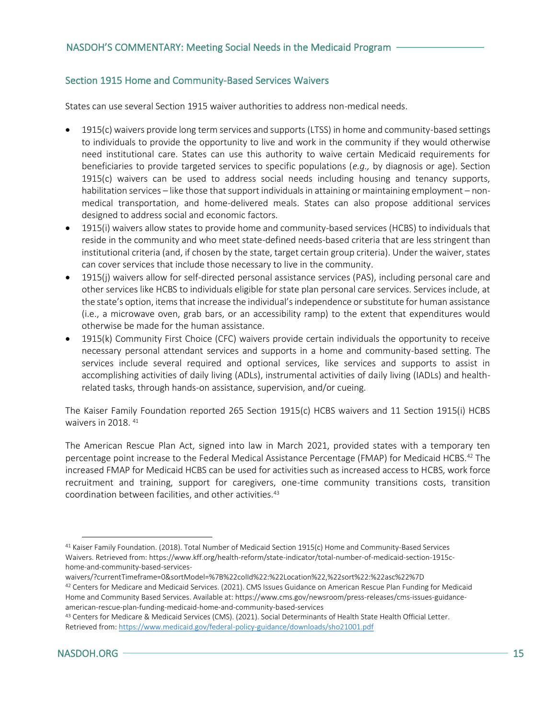### Section 1915 Home and Community-Based Services Waivers

States can use several Section 1915 waiver authorities to address non-medical needs.

- 1915(c) waivers provide long term services and supports (LTSS) in home and community-based settings to individuals to provide the opportunity to live and work in the community if they would otherwise need institutional care. States can use this authority to waive certain Medicaid requirements for beneficiaries to provide targeted services to specific populations (*e.g.,* by diagnosis or age). Section 1915(c) waivers can be used to address social needs including housing and tenancy supports, habilitation services – like those that support individuals in attaining or maintaining employment – nonmedical transportation, and home-delivered meals. States can also propose additional services designed to address social and economic factors.
- 1915(i) waivers allow states to provide home and community-based services (HCBS) to individuals that reside in the community and who meet state-defined needs-based criteria that are less stringent than institutional criteria (and, if chosen by the state, target certain group criteria). Under the waiver, states can cover services that include those necessary to live in the community.
- 1915(j) waivers allow for self-directed personal assistance services (PAS), including personal care and other services like HCBS to individuals eligible for state plan personal care services. Services include, at the state's option, items that increase the individual's independence or substitute for human assistance (i.e., a microwave oven, grab bars, or an accessibility ramp) to the extent that expenditures would otherwise be made for the human assistance.
- 1915(k) Community First Choice (CFC) waivers provide certain individuals the opportunity to receive necessary personal attendant services and supports in a home and community-based setting. The services include several required and optional services, like services and supports to assist in accomplishing activities of daily living (ADLs), instrumental activities of daily living (IADLs) and healthrelated tasks, through hands-on assistance, supervision, and/or cueing.

The Kaiser Family Foundation reported 265 Section 1915(c) HCBS waivers and 11 Section 1915(i) HCBS waivers in 2018. <sup>41</sup>

The American Rescue Plan Act, signed into law in March 2021, provided states with a temporary ten percentage point increase to the Federal Medical Assistance Percentage (FMAP) for Medicaid HCBS.<sup>42</sup> The increased FMAP for Medicaid HCBS can be used for activities such as increased access to HCBS, work force recruitment and training, support for caregivers, one-time community transitions costs, transition coordination between facilities, and other activities.<sup>43</sup>

<sup>41</sup> Kaiser Family Foundation. (2018). Total Number of Medicaid Section 1915(c) Home and Community-Based Services Waivers. Retrieved from: https://www.kff.org/health-reform/state-indicator/total-number-of-medicaid-section-1915chome-and-community-based-services-

waivers/?currentTimeframe=0&sortModel=%7B%22colId%22:%22Location%22,%22sort%22:%22asc%22%7D

<sup>42</sup> Centers for Medicare and Medicaid Services. (2021). CMS Issues Guidance on American Rescue Plan Funding for Medicaid Home and Community Based Services. Available at: https://www.cms.gov/newsroom/press-releases/cms-issues-guidanceamerican-rescue-plan-funding-medicaid-home-and-community-based-services

<sup>43</sup> Centers for Medicare & Medicaid Services (CMS). (2021). Social Determinants of Health State Health Official Letter. Retrieved from:<https://www.medicaid.gov/federal-policy-guidance/downloads/sho21001.pdf>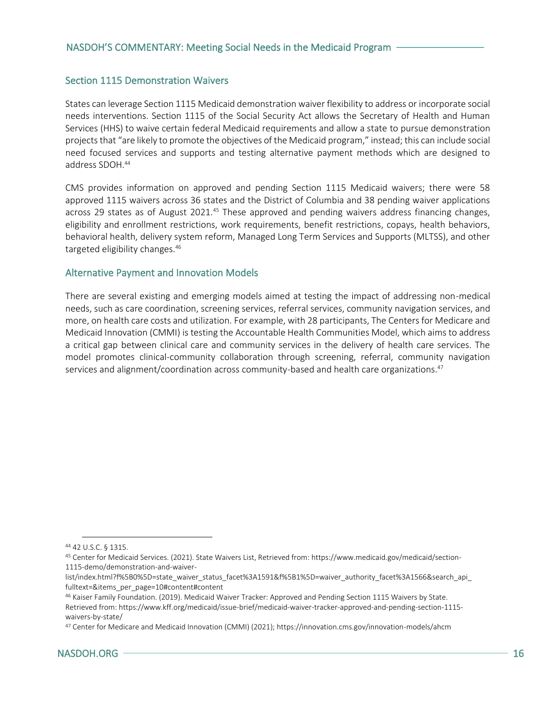### Section 1115 Demonstration Waivers

States can leverage Section 1115 Medicaid demonstration waiver flexibility to address or incorporate social needs interventions. Section 1115 of the Social Security Act allows the Secretary of Health and Human Services (HHS) to waive certain federal Medicaid requirements and allow a state to pursue demonstration projects that "are likely to promote the objectives of the Medicaid program," instead; this can include social need focused services and supports and testing alternative payment methods which are designed to address SDOH.<sup>44</sup>

CMS provides information on approved and pending Section 1115 Medicaid waivers; there were 58 approved 1115 waivers across 36 states and the District of Columbia and 38 pending waiver applications across 29 states as of August 2021.<sup>45</sup> These approved and pending waivers address financing changes, eligibility and enrollment restrictions, work requirements, benefit restrictions, copays, health behaviors, behavioral health, delivery system reform, Managed Long Term Services and Supports (MLTSS), and other targeted eligibility changes.<sup>46</sup>

#### Alternative Payment and Innovation Models

There are several existing and emerging models aimed at testing the impact of addressing non-medical needs, such as care coordination, screening services, referral services, community navigation services, and more, on health care costs and utilization. For example, with 28 participants, The Centers for Medicare and Medicaid Innovation (CMMI) is testing the Accountable Health Communities Model, which aims to address a critical gap between clinical care and community services in the delivery of health care services. The model promotes clinical-community collaboration through screening, referral, community navigation services and alignment/coordination across community-based and health care organizations.<sup>47</sup>

<sup>44</sup> 42 U.S.C. § 1315.

<sup>45</sup> Center for Medicaid Services. (2021). State Waivers List, Retrieved from: https://www.medicaid.gov/medicaid/section-1115-demo/demonstration-and-waiver-

list/index.html?f%5B0%5D=state\_waiver\_status\_facet%3A1591&f%5B1%5D=waiver\_authority\_facet%3A1566&search\_api fulltext=&items\_per\_page=10#content#content

<sup>46</sup> Kaiser Family Foundation. (2019). Medicaid Waiver Tracker: Approved and Pending Section 1115 Waivers by State. Retrieved from: https://www.kff.org/medicaid/issue-brief/medicaid-waiver-tracker-approved-and-pending-section-1115 waivers-by-state/

<sup>47</sup> Center for Medicare and Medicaid Innovation (CMMI) (2021); https://innovation.cms.gov/innovation-models/ahcm